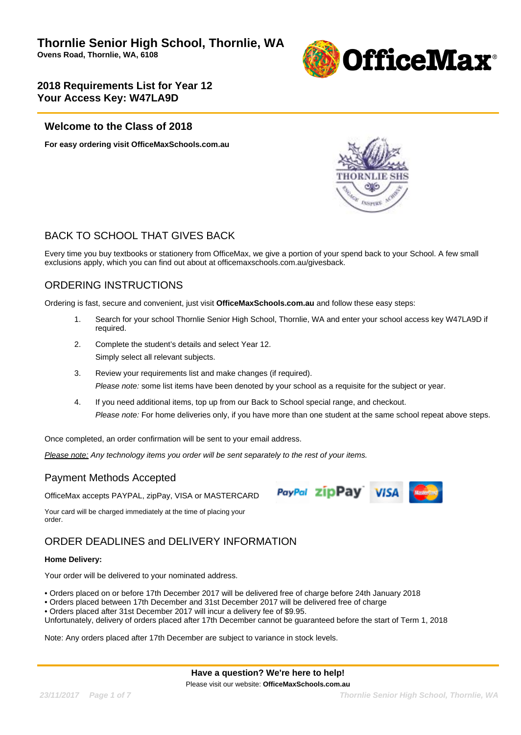

### **Welcome to the Class of 2018**

**For easy ordering visit OfficeMaxSchools.com.au**



PayPal zipPay VISA

# BACK TO SCHOOL THAT GIVES BACK

Every time you buy textbooks or stationery from OfficeMax, we give a portion of your spend back to your School. A few small exclusions apply, which you can find out about at officemaxschools.com.au/givesback.

# ORDERING INSTRUCTIONS

Ordering is fast, secure and convenient, just visit **OfficeMaxSchools.com.au** and follow these easy steps:

- 1. Search for your school Thornlie Senior High School, Thornlie, WA and enter your school access key W47LA9D if required.
- 2. Complete the student's details and select Year 12. Simply select all relevant subjects.
- 3. Review your requirements list and make changes (if required). Please note: some list items have been denoted by your school as a requisite for the subject or year.
- 4. If you need additional items, top up from our Back to School special range, and checkout. Please note: For home deliveries only, if you have more than one student at the same school repeat above steps.

Once completed, an order confirmation will be sent to your email address.

Please note: Any technology items you order will be sent separately to the rest of your items.

### Payment Methods Accepted

OfficeMax accepts PAYPAL, zipPay, VISA or MASTERCARD

Your card will be charged immediately at the time of placing your order.

# ORDER DEADLINES and DELIVERY INFORMATION

### **Home Delivery:**

Your order will be delivered to your nominated address.

• Orders placed on or before 17th December 2017 will be delivered free of charge before 24th January 2018

- Orders placed between 17th December and 31st December 2017 will be delivered free of charge
- Orders placed after 31st December 2017 will incur a delivery fee of \$9.95.

Unfortunately, delivery of orders placed after 17th December cannot be guaranteed before the start of Term 1, 2018

Note: Any orders placed after 17th December are subject to variance in stock levels.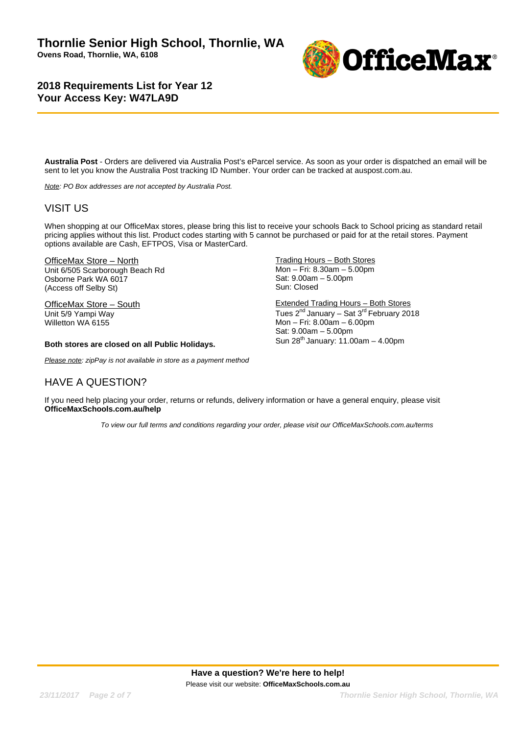

**Australia Post** - Orders are delivered via Australia Post's eParcel service. As soon as your order is dispatched an email will be sent to let you know the Australia Post tracking ID Number. Your order can be tracked at auspost.com.au.

Note: PO Box addresses are not accepted by Australia Post.

## VISIT US

When shopping at our OfficeMax stores, please bring this list to receive your schools Back to School pricing as standard retail pricing applies without this list. Product codes starting with 5 cannot be purchased or paid for at the retail stores. Payment options available are Cash, EFTPOS, Visa or MasterCard.

OfficeMax Store – North Unit 6/505 Scarborough Beach Rd Osborne Park WA 6017 (Access off Selby St)

OfficeMax Store – South Unit 5/9 Yampi Way Willetton WA 6155

#### **Both stores are closed on all Public Holidays.**

Please note: zipPay is not available in store as a payment method

### HAVE A QUESTION?

Trading Hours – Both Stores Mon – Fri: 8.30am – 5.00pm Sat: 9.00am – 5.00pm Sun: Closed

Extended Trading Hours – Both Stores Tues  $2^{nd}$  January – Sat  $3^{rd}$  February 2018 Mon – Fri: 8.00am – 6.00pm Sat: 9.00am – 5.00pm Sun  $28^{th}$  January: 11.00am - 4.00pm

If you need help placing your order, returns or refunds, delivery information or have a general enquiry, please visit **OfficeMaxSchools.com.au/help**

To view our full terms and conditions regarding your order, please visit our OfficeMaxSchools.com.au/terms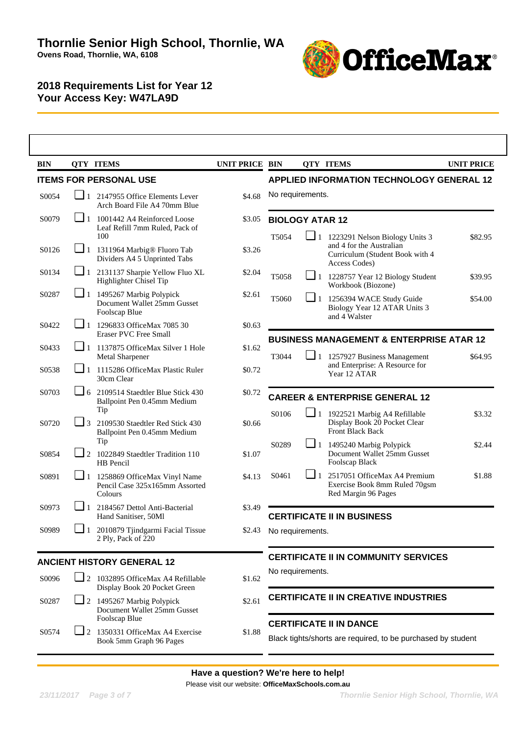

| <b>BIN</b>         |                             | <b>QTY ITEMS</b>                                                                                | <b>UNIT PRICE BIN</b> |                                                                                                |          | <b>QTY ITEMS</b>                                                                                 | <b>UNIT PRICE</b> |  |  |
|--------------------|-----------------------------|-------------------------------------------------------------------------------------------------|-----------------------|------------------------------------------------------------------------------------------------|----------|--------------------------------------------------------------------------------------------------|-------------------|--|--|
|                    |                             | <b>ITEMS FOR PERSONAL USE</b>                                                                   |                       |                                                                                                |          | <b>APPLIED INFORMATION TECHNOLOGY GENERAL 12</b>                                                 |                   |  |  |
| S0054              | $\mathbf{\mathbf{\perp}}$ 1 | 2147955 Office Elements Lever<br>Arch Board File A4 70mm Blue                                   | \$4.68                | No requirements.                                                                               |          |                                                                                                  |                   |  |  |
| S0079              |                             | $\Box$ 1 1001442 A4 Reinforced Loose<br>Leaf Refill 7mm Ruled, Pack of<br>100                   | \$3.05                | <b>BIOLOGY ATAR 12</b><br>$\Box$ 1 1223291 Nelson Biology Units 3                              |          |                                                                                                  |                   |  |  |
| S0126              |                             | $\Box$ 1 1311964 Marbig <sup>®</sup> Fluoro Tab<br>Dividers A4 5 Unprinted Tabs                 | \$3.26                | T5054                                                                                          |          | and 4 for the Australian<br>Curriculum (Student Book with 4<br>Access Codes)                     | \$82.95           |  |  |
| S0134              |                             | $\Box$ 1 2131137 Sharpie Yellow Fluo XL<br>Highlighter Chisel Tip                               | \$2.04                | T5058                                                                                          |          | $\Box$ 1 1228757 Year 12 Biology Student<br>Workbook (Biozone)                                   | \$39.95           |  |  |
| S0287              |                             | $\boxed{\phantom{0}}$ 1 1495267 Marbig Polypick<br>Document Wallet 25mm Gusset<br>Foolscap Blue | \$2.61                | T5060                                                                                          | $\Box$ 1 | 1256394 WACE Study Guide<br>Biology Year 12 ATAR Units 3<br>and 4 Walster                        | \$54.00           |  |  |
| S0422              | ⊔ 1                         | 1296833 OfficeMax 7085 30<br><b>Eraser PVC Free Small</b>                                       | \$0.63                |                                                                                                |          |                                                                                                  |                   |  |  |
| S <sub>04</sub> 33 | $\sqcup$ 1                  | 1137875 OfficeMax Silver 1 Hole<br><b>Metal Sharpener</b>                                       | \$1.62                | T3044                                                                                          | $\Box$ 1 | <b>BUSINESS MANAGEMENT &amp; ENTERPRISE ATAR 12</b><br>1257927 Business Management               | \$64.95           |  |  |
| S0538              | $\Box$ 1                    | 1115286 OfficeMax Plastic Ruler<br>30cm Clear                                                   | \$0.72                |                                                                                                |          | and Enterprise: A Resource for<br>Year 12 ATAR                                                   |                   |  |  |
| S0703              |                             | $\Box$ 6 2109514 Staedtler Blue Stick 430<br>Ballpoint Pen 0.45mm Medium                        | \$0.72                | <b>CAREER &amp; ENTERPRISE GENERAL 12</b>                                                      |          |                                                                                                  |                   |  |  |
| S0720              | $\Box$ 3                    | Tip<br>2109530 Staedtler Red Stick 430<br>Ballpoint Pen 0.45mm Medium                           | \$0.66                | S0106                                                                                          |          | 1 1922521 Marbig A4 Refillable<br>Display Book 20 Pocket Clear<br><b>Front Black Back</b>        | \$3.32            |  |  |
| S0854              | $\Box$ 2                    | Tip<br>1022849 Staedtler Tradition 110<br>HB Pencil                                             | \$1.07                | S0289                                                                                          |          | $\boxed{\phantom{0}}$ 1 1495240 Marbig Polypick<br>Document Wallet 25mm Gusset<br>Foolscap Black | \$2.44            |  |  |
| S0891              | $\Box$ 1                    | 1258869 OfficeMax Vinyl Name<br>Pencil Case 325x165mm Assorted<br>Colours                       | \$4.13                | S0461                                                                                          | $\Box$ 1 | 2517051 OfficeMax A4 Premium<br>Exercise Book 8mm Ruled 70gsm<br>Red Margin 96 Pages             | \$1.88            |  |  |
| S0973              | ┙+                          | 2184567 Dettol Anti-Bacterial<br>Hand Sanitiser, 50Ml                                           | \$3.49                |                                                                                                |          | <b>CERTIFICATE II IN BUSINESS</b>                                                                |                   |  |  |
| S0989              | 1                           | 2010879 Tjindgarmi Facial Tissue<br>2 Ply, Pack of 220                                          | \$2.43                | No requirements.                                                                               |          |                                                                                                  |                   |  |  |
|                    |                             | <b>ANCIENT HISTORY GENERAL 12</b>                                                               |                       |                                                                                                |          | <b>CERTIFICATE II IN COMMUNITY SERVICES</b>                                                      |                   |  |  |
| S0096              |                             | $\Box$ 2 1032895 OfficeMax A4 Refillable<br>Display Book 20 Pocket Green                        | \$1.62                | No requirements.                                                                               |          |                                                                                                  |                   |  |  |
| S0287              |                             | $\Box$ 2 1495267 Marbig Polypick<br>Document Wallet 25mm Gusset<br>Foolscap Blue                | \$2.61                | <b>CERTIFICATE II IN CREATIVE INDUSTRIES</b>                                                   |          |                                                                                                  |                   |  |  |
| S0574              | $\blacksquare$ 2            | 1350331 OfficeMax A4 Exercise<br>Book 5mm Graph 96 Pages                                        | \$1.88                | <b>CERTIFICATE II IN DANCE</b><br>Black tights/shorts are required, to be purchased by student |          |                                                                                                  |                   |  |  |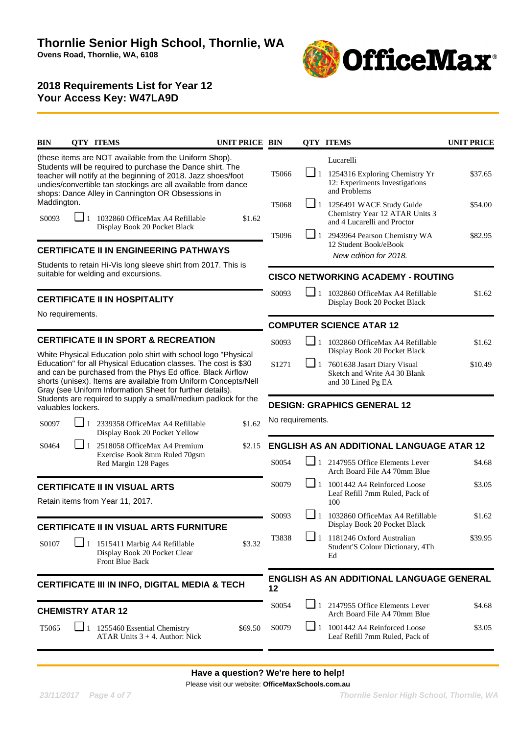

| BIN                  |                                                                                                                                                                                                                                                                                                                                  | <b>QTY ITEMS</b>                                                                                            | UNIT PRICE BIN                                                                                                                                                                               |                                                  |                                    | <b>QTY ITEMS</b>                                                                                   | <b>UNIT PRICE</b> |  |  |
|----------------------|----------------------------------------------------------------------------------------------------------------------------------------------------------------------------------------------------------------------------------------------------------------------------------------------------------------------------------|-------------------------------------------------------------------------------------------------------------|----------------------------------------------------------------------------------------------------------------------------------------------------------------------------------------------|--------------------------------------------------|------------------------------------|----------------------------------------------------------------------------------------------------|-------------------|--|--|
|                      |                                                                                                                                                                                                                                                                                                                                  | (these items are NOT available from the Uniform Shop).<br>shops: Dance Alley in Cannington OR Obsessions in | Students will be required to purchase the Dance shirt. The<br>teacher will notify at the beginning of 2018. Jazz shoes/foot<br>undies/convertible tan stockings are all available from dance | T5066                                            | $\Box$ 1                           | Lucarelli<br>1254316 Exploring Chemistry Yr<br>12: Experiments Investigations<br>and Problems      | \$37.65           |  |  |
| Maddington.<br>S0093 |                                                                                                                                                                                                                                                                                                                                  | 1032860 OfficeMax A4 Refillable<br>Display Book 20 Pocket Black                                             | \$1.62                                                                                                                                                                                       | T <sub>5068</sub>                                |                                    | $\Box$ 1 1256491 WACE Study Guide<br>Chemistry Year 12 ATAR Units 3<br>and 4 Lucarelli and Proctor | \$54.00           |  |  |
|                      |                                                                                                                                                                                                                                                                                                                                  | <b>CERTIFICATE II IN ENGINEERING PATHWAYS</b>                                                               |                                                                                                                                                                                              | T5096                                            |                                    | $\Box$ 1 2943964 Pearson Chemistry WA<br>12 Student Book/eBook<br>New edition for 2018.            | \$82.95           |  |  |
|                      |                                                                                                                                                                                                                                                                                                                                  | suitable for welding and excursions.                                                                        | Students to retain Hi-Vis long sleeve shirt from 2017. This is                                                                                                                               | <b>CISCO NETWORKING ACADEMY - ROUTING</b>        |                                    |                                                                                                    |                   |  |  |
|                      |                                                                                                                                                                                                                                                                                                                                  | <b>CERTIFICATE II IN HOSPITALITY</b>                                                                        |                                                                                                                                                                                              | S0093                                            | ┚<br>$\overline{1}$                | 1032860 OfficeMax A4 Refillable<br>Display Book 20 Pocket Black                                    | \$1.62            |  |  |
|                      | No requirements.                                                                                                                                                                                                                                                                                                                 |                                                                                                             |                                                                                                                                                                                              | <b>COMPUTER SCIENCE ATAR 12</b>                  |                                    |                                                                                                    |                   |  |  |
|                      |                                                                                                                                                                                                                                                                                                                                  | <b>CERTIFICATE II IN SPORT &amp; RECREATION</b>                                                             |                                                                                                                                                                                              | S0093                                            | $\sqcup_1$                         | 1032860 OfficeMax A4 Refillable<br>Display Book 20 Pocket Black                                    | \$1.62            |  |  |
|                      | White Physical Education polo shirt with school logo "Physical<br>Education" for all Physical Education classes. The cost is \$30<br>and can be purchased from the Phys Ed office. Black Airflow<br>shorts (unisex). Items are available from Uniform Concepts/Nell<br>Gray (see Uniform Information Sheet for further details). |                                                                                                             |                                                                                                                                                                                              |                                                  | $\Box$ 1                           | 7601638 Jasart Diary Visual<br>Sketch and Write A4 30 Blank<br>and 30 Lined Pg EA                  | \$10.49           |  |  |
|                      | Students are required to supply a small/medium padlock for the<br>valuables lockers.                                                                                                                                                                                                                                             |                                                                                                             |                                                                                                                                                                                              |                                                  | <b>DESIGN: GRAPHICS GENERAL 12</b> |                                                                                                    |                   |  |  |
| S0097                | $\Box$ 1<br>2339358 OfficeMax A4 Refillable<br>\$1.62<br>Display Book 20 Pocket Yellow                                                                                                                                                                                                                                           |                                                                                                             |                                                                                                                                                                                              | No requirements.                                 |                                    |                                                                                                    |                   |  |  |
| S0464                |                                                                                                                                                                                                                                                                                                                                  | 2518058 OfficeMax A4 Premium<br>Exercise Book 8mm Ruled 70gsm                                               | \$2.15                                                                                                                                                                                       | <b>ENGLISH AS AN ADDITIONAL LANGUAGE ATAR 12</b> |                                    |                                                                                                    |                   |  |  |
|                      |                                                                                                                                                                                                                                                                                                                                  | Red Margin 128 Pages                                                                                        |                                                                                                                                                                                              | S0054                                            | $-11$                              | 2147955 Office Elements Lever<br>Arch Board File A4 70mm Blue                                      | \$4.68            |  |  |
|                      |                                                                                                                                                                                                                                                                                                                                  | <b>CERTIFICATE II IN VISUAL ARTS</b><br>Retain items from Year 11, 2017.                                    |                                                                                                                                                                                              | S0079                                            | $\Box$ 1                           | 1001442 A4 Reinforced Loose<br>Leaf Refill 7mm Ruled, Pack of<br>100                               | \$3.05            |  |  |
|                      |                                                                                                                                                                                                                                                                                                                                  | CERTIFICATE II IN VISUAL ARTS FURNITURE                                                                     |                                                                                                                                                                                              | S0093                                            |                                    | 1032860 OfficeMax A4 Refillable<br>Display Book 20 Pocket Black                                    | \$1.62            |  |  |
| S0107                |                                                                                                                                                                                                                                                                                                                                  | $\Box$ 1 1515411 Marbig A4 Refillable<br>Display Book 20 Pocket Clear<br>Front Blue Back                    | \$3.32                                                                                                                                                                                       | T3838                                            | $\Box$ 1                           | 1181246 Oxford Australian<br>Student'S Colour Dictionary, 4Th<br>Ed                                | \$39.95           |  |  |
|                      |                                                                                                                                                                                                                                                                                                                                  |                                                                                                             | CERTIFICATE III IN INFO, DIGITAL MEDIA & TECH                                                                                                                                                | 12                                               |                                    | ENGLISH AS AN ADDITIONAL LANGUAGE GENERAL                                                          |                   |  |  |
|                      |                                                                                                                                                                                                                                                                                                                                  | <b>CHEMISTRY ATAR 12</b>                                                                                    |                                                                                                                                                                                              | S0054                                            |                                    | $\boxed{\phantom{0}}$ 1 2147955 Office Elements Lever<br>Arch Board File A4 70mm Blue              | \$4.68            |  |  |
| T <sub>5065</sub>    |                                                                                                                                                                                                                                                                                                                                  | 1 1255460 Essential Chemistry<br>ATAR Units $3 + 4$ . Author: Nick                                          | \$69.50                                                                                                                                                                                      | S0079                                            |                                    | $\Box$ 1 1001442 A4 Reinforced Loose<br>Leaf Refill 7mm Ruled, Pack of                             | \$3.05            |  |  |
|                      |                                                                                                                                                                                                                                                                                                                                  |                                                                                                             |                                                                                                                                                                                              |                                                  |                                    |                                                                                                    |                   |  |  |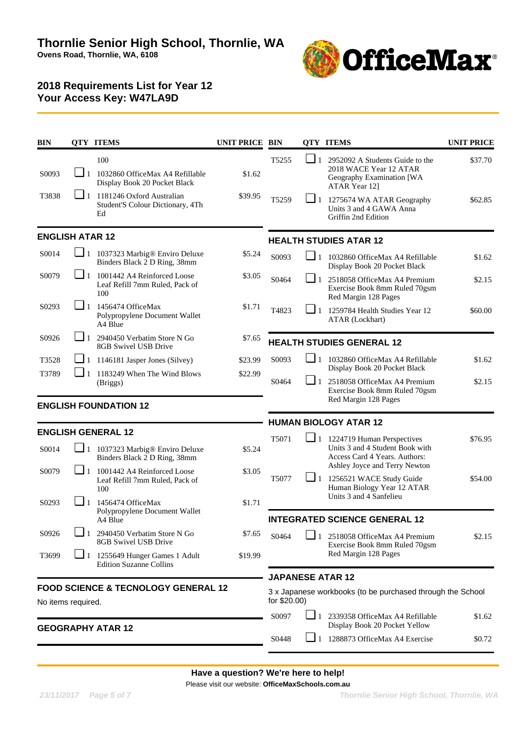

| <b>BIN</b>               | <b>QTY ITEMS</b>                                                          |                                                                                       | <b>UNIT PRICE BIN</b> |                   |                                                                             | <b>QTY ITEMS</b>                                                                                        | <b>UNIT PRICE</b> |  |
|--------------------------|---------------------------------------------------------------------------|---------------------------------------------------------------------------------------|-----------------------|-------------------|-----------------------------------------------------------------------------|---------------------------------------------------------------------------------------------------------|-------------------|--|
| S0093                    |                                                                           | 100<br>1032860 OfficeMax A4 Refillable<br>Display Book 20 Pocket Black                | \$1.62                | T <sub>5255</sub> | $\Box$ 1                                                                    | 2952092 A Students Guide to the<br>2018 WACE Year 12 ATAR<br>Geography Examination [WA<br>ATAR Year 12] | \$37.70           |  |
| T3838                    | ┛+<br>1181246 Oxford Australian<br>Student'S Colour Dictionary, 4Th<br>Ed |                                                                                       | \$39.95               | T5259             | $\Box$ 1                                                                    | 1275674 WA ATAR Geography<br>Units 3 and 4 GAWA Anna<br>Griffin 2nd Edition                             | \$62.85           |  |
| <b>ENGLISH ATAR 12</b>   |                                                                           |                                                                                       |                       |                   |                                                                             | <b>HEALTH STUDIES ATAR 12</b>                                                                           |                   |  |
| S0014                    | $\Box$ 1                                                                  | 1037323 Marbig® Enviro Deluxe<br>Binders Black 2 D Ring, 38mm                         | \$5.24                | S0093             | $\Box$ 1<br>1032860 OfficeMax A4 Refillable<br>Display Book 20 Pocket Black |                                                                                                         | \$1.62            |  |
| S0079                    |                                                                           | $\blacksquare$ 1 1001442 A4 Reinforced Loose<br>Leaf Refill 7mm Ruled, Pack of<br>100 | \$3.05                | S0464             | $\Box$ 1                                                                    | 2518058 OfficeMax A4 Premium<br>Exercise Book 8mm Ruled 70gsm<br>Red Margin 128 Pages                   | \$2.15            |  |
| S0293                    | $\blacksquare$ 1                                                          | 1456474 OfficeMax<br>Polypropylene Document Wallet<br>A4 Blue                         | \$1.71                | T4823             | └┛+<br>1259784 Health Studies Year 12<br>ATAR (Lockhart)                    |                                                                                                         | \$60.00           |  |
| S0926                    | $\Box$ 1                                                                  | 2940450 Verbatim Store N Go<br>8GB Swivel USB Drive                                   | \$7.65                |                   |                                                                             | <b>HEALTH STUDIES GENERAL 12</b>                                                                        |                   |  |
| T3528                    |                                                                           | $\Box$ 1 1146181 Jasper Jones (Silvey)                                                | \$23.99               | S0093             | $\Box$ 1                                                                    | 1032860 OfficeMax A4 Refillable                                                                         | \$1.62            |  |
| T3789                    |                                                                           | 1183249 When The Wind Blows<br>(Briggs)                                               | \$22.99               | S0464             | $\sqcup$ 1                                                                  | Display Book 20 Pocket Black<br>2518058 OfficeMax A4 Premium<br>Exercise Book 8mm Ruled 70gsm           | \$2.15            |  |
|                          |                                                                           | <b>ENGLISH FOUNDATION 12</b>                                                          |                       |                   |                                                                             | Red Margin 128 Pages                                                                                    |                   |  |
|                          |                                                                           |                                                                                       |                       |                   |                                                                             | <b>HUMAN BIOLOGY ATAR 12</b>                                                                            |                   |  |
|                          |                                                                           | <b>ENGLISH GENERAL 12</b>                                                             |                       | T5071             |                                                                             | $\Box$ 1 1224719 Human Perspectives                                                                     | \$76.95           |  |
| S0014                    |                                                                           | 1 1037323 Marbig® Enviro Deluxe<br>Binders Black 2 D Ring, 38mm                       | \$5.24                |                   |                                                                             | Units 3 and 4 Student Book with<br>Access Card 4 Years. Authors:<br>Ashley Joyce and Terry Newton       |                   |  |
| S0079                    | $\Box$ 1                                                                  | 1001442 A4 Reinforced Loose<br>Leaf Refill 7mm Ruled, Pack of<br>100                  | \$3.05                | T5077             | $\sqcup$ 1                                                                  | 1256521 WACE Study Guide<br>Human Biology Year 12 ATAR                                                  | \$54.00           |  |
| S0293                    | $\blacksquare$ 1                                                          | 1456474 OfficeMax<br>Polypropylene Document Wallet<br>A4 Blue                         | \$1.71                |                   |                                                                             | Units 3 and 4 Sanfelieu<br><b>INTEGRATED SCIENCE GENERAL 12</b>                                         |                   |  |
| S0926                    |                                                                           | 2940450 Verbatim Store N Go<br>8GB Swivel USB Drive                                   | \$7.65                | S0464             |                                                                             | 2518058 OfficeMax A4 Premium<br>Exercise Book 8mm Ruled 70gsm                                           | \$2.15            |  |
| T3699                    | $\sqcup$ 1                                                                | 1255649 Hunger Games 1 Adult<br><b>Edition Suzanne Collins</b>                        | \$19.99               |                   |                                                                             | Red Margin 128 Pages                                                                                    |                   |  |
|                          |                                                                           |                                                                                       |                       |                   |                                                                             | <b>JAPANESE ATAR 12</b>                                                                                 |                   |  |
| No items required.       |                                                                           | <b>FOOD SCIENCE &amp; TECNOLOGY GENERAL 12</b>                                        |                       | for \$20.00)      |                                                                             | 3 x Japanese workbooks (to be purchased through the School                                              |                   |  |
| <b>GEOGRAPHY ATAR 12</b> |                                                                           |                                                                                       |                       |                   | $\Box$ 1                                                                    | 2339358 OfficeMax A4 Refillable<br>Display Book 20 Pocket Yellow                                        | \$1.62            |  |
|                          |                                                                           |                                                                                       |                       | S0448             |                                                                             | $\Box$ 1 1288873 OfficeMax A4 Exercise                                                                  | \$0.72            |  |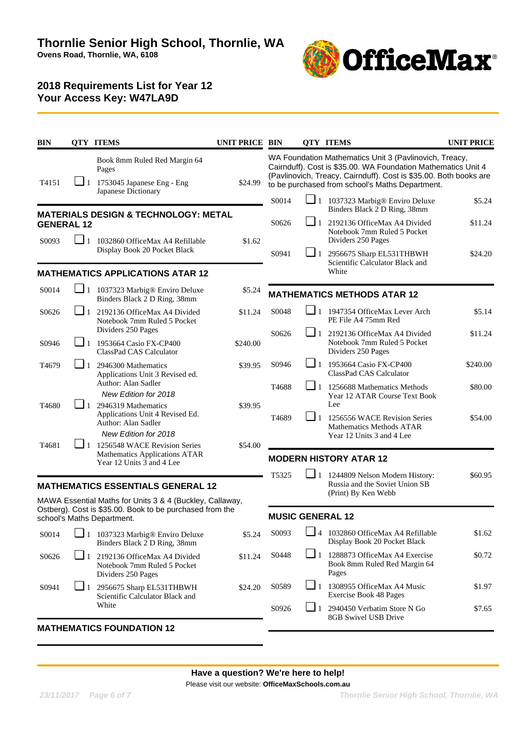

| BIN               |                                                                                                                                                       | <b>QTY ITEMS</b>                                                                                                             | <b>UNIT PRICE BIN</b> |                            |                                                                                                                                                                                                                                                 | <b>QTY ITEMS</b>                                                                                                                | <b>UNIT PRICE</b>  |  |
|-------------------|-------------------------------------------------------------------------------------------------------------------------------------------------------|------------------------------------------------------------------------------------------------------------------------------|-----------------------|----------------------------|-------------------------------------------------------------------------------------------------------------------------------------------------------------------------------------------------------------------------------------------------|---------------------------------------------------------------------------------------------------------------------------------|--------------------|--|
| T4151             | $\Box$ 1                                                                                                                                              | Book 8mm Ruled Red Margin 64<br>Pages<br>1753045 Japanese Eng - Eng<br>Japanese Dictionary                                   | \$24.99               |                            | WA Foundation Mathematics Unit 3 (Pavlinovich, Treacy,<br>Cairnduff). Cost is \$35.00. WA Foundation Mathematics Unit 4<br>(Pavlinovich, Treacy, Cairnduff). Cost is \$35.00. Both books are<br>to be purchased from school's Maths Department. |                                                                                                                                 |                    |  |
|                   |                                                                                                                                                       | <b>MATERIALS DESIGN &amp; TECHNOLOGY: METAL</b>                                                                              |                       | S0014                      |                                                                                                                                                                                                                                                 | $\Box$ 1 1037323 Marbig® Enviro Deluxe<br>Binders Black 2 D Ring, 38mm                                                          | \$5.24             |  |
| <b>GENERAL 12</b> |                                                                                                                                                       |                                                                                                                              |                       | S0626                      | $\Box$ 1                                                                                                                                                                                                                                        | 2192136 OfficeMax A4 Divided<br>Notebook 7mm Ruled 5 Pocket                                                                     | \$11.24            |  |
| S0093             | ⊔ 1                                                                                                                                                   | 1032860 OfficeMax A4 Refillable<br>Display Book 20 Pocket Black                                                              | \$1.62                | S0941                      |                                                                                                                                                                                                                                                 | Dividers 250 Pages<br>2956675 Sharp EL531THBWH                                                                                  | \$24.20            |  |
|                   |                                                                                                                                                       | <b>MATHEMATICS APPLICATIONS ATAR 12</b>                                                                                      |                       |                            |                                                                                                                                                                                                                                                 | Scientific Calculator Black and<br>White                                                                                        |                    |  |
| S0014             |                                                                                                                                                       | 1 1037323 Marbig® Enviro Deluxe<br>Binders Black 2 D Ring, 38mm                                                              | \$5.24                |                            |                                                                                                                                                                                                                                                 | <b>MATHEMATICS METHODS ATAR 12</b>                                                                                              |                    |  |
| S0626             |                                                                                                                                                       | 2192136 OfficeMax A4 Divided<br>Notebook 7mm Ruled 5 Pocket                                                                  | \$11.24               | S0048                      | ❏                                                                                                                                                                                                                                               | 1947354 OfficeMax Lever Arch<br>PE File A4 75mm Red                                                                             | \$5.14             |  |
| S0946             |                                                                                                                                                       | Dividers 250 Pages<br>1953664 Casio FX-CP400<br>ClassPad CAS Calculator                                                      | \$240.00              | S0626                      | $\Box$ 1                                                                                                                                                                                                                                        | 2192136 OfficeMax A4 Divided<br>Notebook 7mm Ruled 5 Pocket<br>Dividers 250 Pages                                               | \$11.24            |  |
| T <sub>4679</sub> | $\square_1$                                                                                                                                           | 2946300 Mathematics<br>Applications Unit 3 Revised ed.                                                                       | \$39.95               | S0946                      | $\Box$ 1                                                                                                                                                                                                                                        | 1953664 Casio FX-CP400<br>ClassPad CAS Calculator                                                                               | \$240.00           |  |
| T4680             |                                                                                                                                                       | Author: Alan Sadler<br>New Edition for 2018<br>2946319 Mathematics<br>Applications Unit 4 Revised Ed.<br>Author: Alan Sadler | \$39.95               | T <sub>4688</sub><br>T4689 | $\Box$ 1<br>$\Box$ 1                                                                                                                                                                                                                            | 1256688 Mathematics Methods<br>Year 12 ATAR Course Text Book<br>Lee<br>1256556 WACE Revision Series<br>Mathematics Methods ATAR | \$80.00<br>\$54.00 |  |
| T4681             | New Edition for 2018<br>$\boxed{\phantom{0}}$ 1 1256548 WACE Revision Series<br>\$54.00<br>Mathematics Applications ATAR<br>Year 12 Units 3 and 4 Lee |                                                                                                                              |                       |                            |                                                                                                                                                                                                                                                 | Year 12 Units 3 and 4 Lee<br><b>MODERN HISTORY ATAR 12</b>                                                                      |                    |  |
|                   |                                                                                                                                                       | <b>MATHEMATICS ESSENTIALS GENERAL 12</b><br>MAWA Essential Maths for Units 3 & 4 (Buckley, Callaway,                         |                       | T5325                      | $\Box$ 1                                                                                                                                                                                                                                        | 1244809 Nelson Modern History:<br>Russia and the Soviet Union SB<br>(Print) By Ken Webb                                         | \$60.95            |  |
|                   |                                                                                                                                                       | Ostberg). Cost is \$35.00. Book to be purchased from the<br>school's Maths Department.                                       |                       | <b>MUSIC GENERAL 12</b>    |                                                                                                                                                                                                                                                 |                                                                                                                                 |                    |  |
| S0014             |                                                                                                                                                       | $\Box$ 1 1037323 Marbig® Enviro Deluxe<br>Binders Black 2 D Ring, 38mm                                                       | \$5.24                | S0093                      |                                                                                                                                                                                                                                                 | 4 1032860 OfficeMax A4 Refillable<br>Display Book 20 Pocket Black                                                               | \$1.62             |  |
| S0626             | $\Box$ 1                                                                                                                                              | 2192136 OfficeMax A4 Divided<br>Notebook 7mm Ruled 5 Pocket<br>Dividers 250 Pages                                            | \$11.24               | S0448                      |                                                                                                                                                                                                                                                 | $\Box$ 1 1288873 OfficeMax A4 Exercise<br>Book 8mm Ruled Red Margin 64<br>Pages                                                 | \$0.72             |  |
| S0941             | $\Box$ 1                                                                                                                                              | 2956675 Sharp EL531THBWH<br>Scientific Calculator Black and                                                                  | \$24.20               | S0589                      | $\Box$ 1                                                                                                                                                                                                                                        | 1308955 OfficeMax A4 Music<br><b>Exercise Book 48 Pages</b>                                                                     | \$1.97             |  |
|                   |                                                                                                                                                       | White                                                                                                                        |                       | S0926                      | $\Box$ 1                                                                                                                                                                                                                                        | 2940450 Verbatim Store N Go<br>8GB Swivel USB Drive                                                                             | \$7.65             |  |
|                   |                                                                                                                                                       | <b>MATHEMATICS FOUNDATION 12</b>                                                                                             |                       |                            |                                                                                                                                                                                                                                                 |                                                                                                                                 |                    |  |